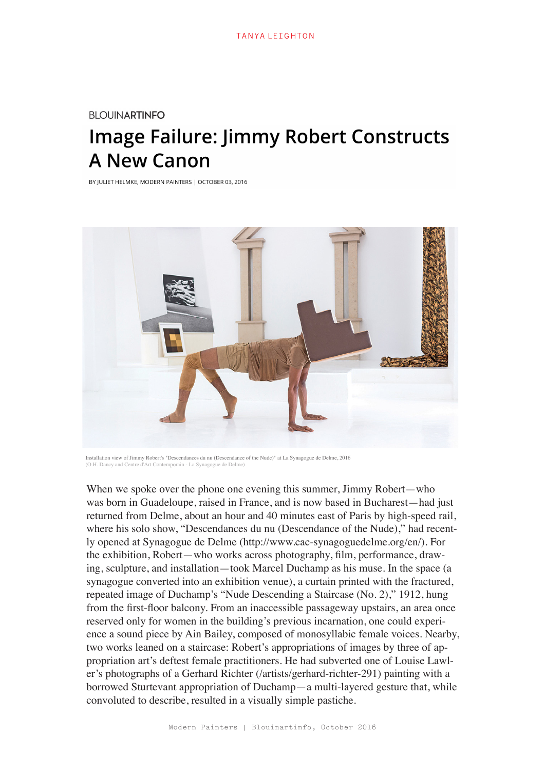## **BLOUINARTINFO**

## **Image Failure: Jimmy Robert Constructs A New Canon**

BY JULIET HELMKE, MODERN PAINTERS | OCTOBER 03, 2016



Installation view of Jimmy Robert's "Descendances du nu (Descendance of the Nude)" at La Synagogue de Delme, 2016<br>(O H. Dancy and Centre d'Art Contemporain - La Synagogue de Delme)  $($ O.H. Dancy and Centre d'Art Cont

When we spoke over the phone one evening this summer, Jimmy Robert—who was born in Guadeloupe, raised in France, and is now based in Bucharest—had just returned from Delme, about an hour and 40 minutes east of Paris by high-speed rail, where his solo show, "Descendances du nu (Descendance of the Nude)," had recently opened at Synagogue de Delme (http://www.cac-synagoguedelme.org/en/). For the exhibition, Robert—who works across photography, film, performance, drawing, sculpture, and installation—took Marcel Duchamp as his muse. In the space (a synagogue converted into an exhibition venue), a curtain printed with the fractured, repeated image of Duchamp's "Nude Descending a Staircase (No. 2)," 1912, hung from the first-floor balcony. From an inaccessible passageway upstairs, an area once reserved only for women in the building's previous incarnation, one could experience a sound piece by Ain Bailey, composed of monosyllabic female voices. Nearby, two works leaned on a staircase: Robert's appropriations of images by three of appropriation art's deftest female practitioners. He had subverted one of Louise Lawler's photographs of a Gerhard Richter (/artists/gerhard-richter-291) painting with a borrowed Sturtevant appropriation of Duchamp—a multi-layered gesture that, while convoluted to describe, resulted in a visually simple pastiche.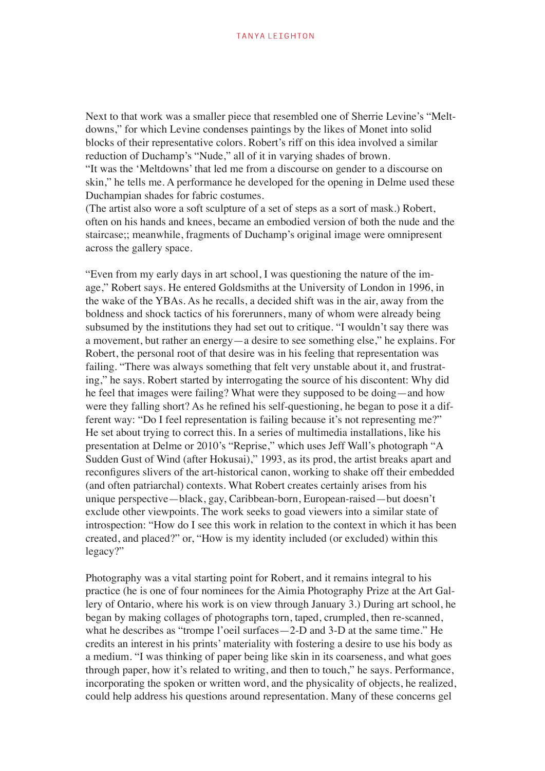Next to that work was a smaller piece that resembled one of Sherrie Levine's "Meltdowns," for which Levine condenses paintings by the likes of Monet into solid blocks of their representative colors. Robert's riff on this idea involved a similar reduction of Duchamp's "Nude," all of it in varying shades of brown. "It was the 'Meltdowns' that led me from a discourse on gender to a discourse on skin," he tells me. A performance he developed for the opening in Delme used these Duchampian shades for fabric costumes.

(The artist also wore a soft sculpture of a set of steps as a sort of mask.) Robert, often on his hands and knees, became an embodied version of both the nude and the staircase;; meanwhile, fragments of Duchamp's original image were omnipresent across the gallery space.

"Even from my early days in art school, I was questioning the nature of the image," Robert says. He entered Goldsmiths at the University of London in 1996, in the wake of the YBAs. As he recalls, a decided shift was in the air, away from the boldness and shock tactics of his forerunners, many of whom were already being subsumed by the institutions they had set out to critique. "I wouldn't say there was a movement, but rather an energy—a desire to see something else," he explains. For Robert, the personal root of that desire was in his feeling that representation was failing. "There was always something that felt very unstable about it, and frustrating," he says. Robert started by interrogating the source of his discontent: Why did he feel that images were failing? What were they supposed to be doing—and how were they falling short? As he refined his self-questioning, he began to pose it a different way: "Do I feel representation is failing because it's not representing me?" He set about trying to correct this. In a series of multimedia installations, like his presentation at Delme or 2010's "Reprise," which uses Jeff Wall's photograph "A Sudden Gust of Wind (after Hokusai)," 1993, as its prod, the artist breaks apart and reconfigures slivers of the art-historical canon, working to shake off their embedded (and often patriarchal) contexts. What Robert creates certainly arises from his unique perspective—black, gay, Caribbean-born, European-raised—but doesn't exclude other viewpoints. The work seeks to goad viewers into a similar state of introspection: "How do I see this work in relation to the context in which it has been created, and placed?" or, "How is my identity included (or excluded) within this legacy?"

Photography was a vital starting point for Robert, and it remains integral to his practice (he is one of four nominees for the Aimia Photography Prize at the Art Gallery of Ontario, where his work is on view through January 3.) During art school, he began by making collages of photographs torn, taped, crumpled, then re-scanned, what he describes as "trompe l'oeil surfaces—2-D and 3-D at the same time." He credits an interest in his prints' materiality with fostering a desire to use his body as a medium. "I was thinking of paper being like skin in its coarseness, and what goes through paper, how it's related to writing, and then to touch," he says. Performance, incorporating the spoken or written word, and the physicality of objects, he realized, could help address his questions around representation. Many of these concerns gel